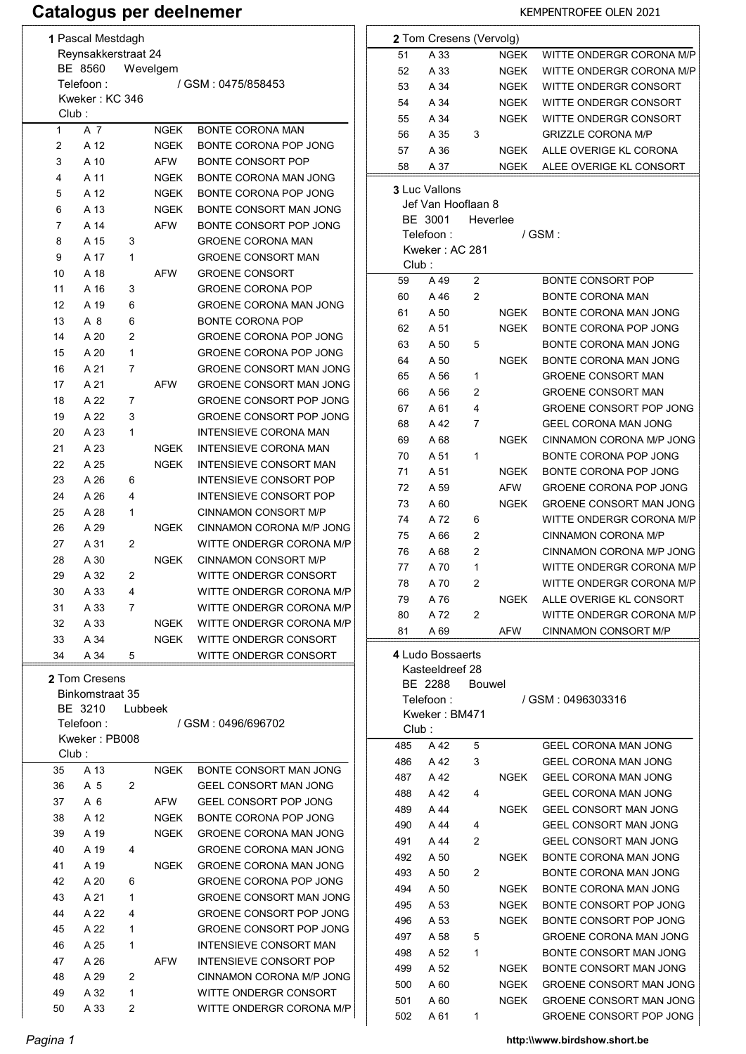# Catalogus per deelnemer KEMPENTROFEE OLEN 2021

| 1 Pascal Mestdagh<br>Reynsakkerstraat 24 |                                                                                                                                                                |   |            |                                |  |  |
|------------------------------------------|----------------------------------------------------------------------------------------------------------------------------------------------------------------|---|------------|--------------------------------|--|--|
| BE 8560<br>Wevelgem                      |                                                                                                                                                                |   |            |                                |  |  |
| Telefoon :<br>/ GSM: 0475/858453         |                                                                                                                                                                |   |            |                                |  |  |
|                                          | Kweker: KC 346                                                                                                                                                 |   |            |                                |  |  |
| Club:                                    |                                                                                                                                                                |   |            |                                |  |  |
| 1                                        | A 7                                                                                                                                                            |   | NGEK       | <b>BONTE CORONA MAN</b>        |  |  |
| 2                                        | A 12                                                                                                                                                           |   | NGEK       | BONTE CORONA POP JONG          |  |  |
| 3                                        | A 10                                                                                                                                                           |   | AFW        | <b>BONTE CONSORT POP</b>       |  |  |
| 4                                        | A 11                                                                                                                                                           |   | NGEK       | BONTE CORONA MAN JONG          |  |  |
| 5                                        | A 12                                                                                                                                                           |   | NGEK       | BONTE CORONA POP JONG          |  |  |
| 6                                        | A 13                                                                                                                                                           |   | NGEK       | BONTE CONSORT MAN JONG         |  |  |
| 7                                        | A 14                                                                                                                                                           |   | AFW        | BONTE CONSORT POP JONG         |  |  |
| 8                                        | A 15                                                                                                                                                           | 3 |            | <b>GROENE CORONA MAN</b>       |  |  |
| 9                                        | A 17                                                                                                                                                           | 1 |            | <b>GROENE CONSORT MAN</b>      |  |  |
| 10                                       | A 18                                                                                                                                                           |   | <b>AFW</b> | <b>GROENE CONSORT</b>          |  |  |
| 11                                       | A 16                                                                                                                                                           | 3 |            | <b>GROENE CORONA POP</b>       |  |  |
| 12                                       | A 19                                                                                                                                                           | 6 |            | <b>GROENE CORONA MAN JONG</b>  |  |  |
|                                          | A 8                                                                                                                                                            |   |            | <b>BONTE CORONA POP</b>        |  |  |
| 13                                       |                                                                                                                                                                | 6 |            |                                |  |  |
| 14                                       | A 20                                                                                                                                                           | 2 |            | GROENE CORONA POP JONG         |  |  |
| 15                                       | A 20                                                                                                                                                           | 1 |            | GROENE CORONA POP JONG         |  |  |
| 16                                       | A 21                                                                                                                                                           | 7 |            | <b>GROENE CONSORT MAN JONG</b> |  |  |
| 17                                       | A 21                                                                                                                                                           |   | <b>AFW</b> | <b>GROENE CONSORT MAN JONG</b> |  |  |
| 18                                       | A 22                                                                                                                                                           | 7 |            | <b>GROENE CONSORT POP JONG</b> |  |  |
| 19                                       | A 22                                                                                                                                                           | 3 |            | GROENE CONSORT POP JONG        |  |  |
| 20                                       | A 23                                                                                                                                                           | 1 |            | <b>INTENSIEVE CORONA MAN</b>   |  |  |
| 21                                       | A 23                                                                                                                                                           |   | NGEK       | <b>INTENSIEVE CORONA MAN</b>   |  |  |
| 22                                       | A 25                                                                                                                                                           |   | NGEK       | <b>INTENSIEVE CONSORT MAN</b>  |  |  |
| 23                                       | A 26                                                                                                                                                           | 6 |            | INTENSIEVE CONSORT POP         |  |  |
| 24                                       | A 26                                                                                                                                                           | 4 |            | INTENSIEVE CONSORT POP         |  |  |
| 25                                       | A 28                                                                                                                                                           | 1 |            | <b>CINNAMON CONSORT M/P</b>    |  |  |
| 26                                       | A 29                                                                                                                                                           |   | NGEK       | CINNAMON CORONA M/P JONG       |  |  |
| 27                                       | A 31                                                                                                                                                           | 2 |            | WITTE ONDERGR CORONA M/P       |  |  |
| 28                                       | A 30                                                                                                                                                           |   | NGEK       | CINNAMON CONSORT M/P           |  |  |
| 29                                       | A 32                                                                                                                                                           | 2 |            | WITTE ONDERGR CONSORT          |  |  |
| 30                                       | A 33                                                                                                                                                           | 4 |            | WITTE ONDERGR CORONA M/P       |  |  |
| 31                                       | A 33                                                                                                                                                           | 7 |            | WITTE ONDERGR CORONA M/P       |  |  |
| 32                                       | A 33                                                                                                                                                           |   | NGEK       | WITTE ONDERGR CORONA M/P       |  |  |
| 33                                       | A 34                                                                                                                                                           |   | NGEK       | WITTE ONDERGR CONSORT          |  |  |
|                                          |                                                                                                                                                                |   |            |                                |  |  |
|                                          | WITTE ONDERGR CONSORT<br>34<br>A 34<br>5<br><b>2</b> Tom Cresens<br>Binkomstraat 35<br>BE 3210<br>Lubbeek<br>/ GSM: 0496/696702<br>Telefoon :<br>Kweker: PB008 |   |            |                                |  |  |
| Club:                                    |                                                                                                                                                                |   |            |                                |  |  |
| 35                                       | A 13                                                                                                                                                           |   | NGEK       | BONTE CONSORT MAN JONG         |  |  |
| 36                                       | A 5                                                                                                                                                            | 2 |            | GEEL CONSORT MAN JONG          |  |  |
| 37                                       | A 6                                                                                                                                                            |   | AFW        | <b>GEEL CONSORT POP JONG</b>   |  |  |
| 38                                       | A 12                                                                                                                                                           |   | NGEK       | BONTE CORONA POP JONG          |  |  |
| 39                                       | A 19                                                                                                                                                           |   | NGEK       | <b>GROENE CORONA MAN JONG</b>  |  |  |
| 40                                       | A 19                                                                                                                                                           | 4 |            | <b>GROENE CORONA MAN JONG</b>  |  |  |
| 41                                       | A 19                                                                                                                                                           |   | NGEK       | <b>GROENE CORONA MAN JONG</b>  |  |  |
| 42                                       | A 20                                                                                                                                                           | 6 |            | <b>GROENE CORONA POP JONG</b>  |  |  |
| 43                                       | A 21                                                                                                                                                           | 1 |            | <b>GROENE CONSORT MAN JONG</b> |  |  |
| 44                                       | A 22                                                                                                                                                           | 4 |            | GROENE CONSORT POP JONG        |  |  |
| 45                                       | A 22                                                                                                                                                           | 1 |            | GROENE CONSORT POP JONG        |  |  |
|                                          |                                                                                                                                                                |   |            |                                |  |  |
| 46                                       | A 25                                                                                                                                                           | 1 |            | INTENSIEVE CONSORT MAN         |  |  |
| 47                                       | A 26                                                                                                                                                           |   | AFW        | INTENSIEVE CONSORT POP         |  |  |
| 48                                       | A 29                                                                                                                                                           | 2 |            | CINNAMON CORONA M/P JONG       |  |  |
| 49                                       | A 32                                                                                                                                                           | 1 |            | WITTE ONDERGR CONSORT          |  |  |
| 50                                       | A 33                                                                                                                                                           | 2 |            | WITTE ONDERGR CORONA M/P       |  |  |

|       | 2 Tom Cresens (Vervolg) |          |             |                                |
|-------|-------------------------|----------|-------------|--------------------------------|
| 51    | A 33                    |          | NGEK        | WITTE ONDERGR CORONA M/P       |
| 52    | A 33                    |          | NGEK        | WITTE ONDERGR CORONA M/P       |
| 53    | A 34                    |          | NGEK        | WITTE ONDERGR CONSORT          |
| 54    | A 34                    |          | NGEK        | WITTE ONDERGR CONSORT          |
| 55    | A 34                    |          | NGEK        | WITTE ONDERGR CONSORT          |
| 56    | A 35                    | 3        |             | <b>GRIZZLE CORONA M/P</b>      |
| 57    | A 36                    |          | <b>NGEK</b> | ALLE OVERIGE KL CORONA         |
| 58    | A 37                    |          | NGEK        | ALEE OVERIGE KL CONSORT        |
|       | <b>3 Luc Vallons</b>    |          |             |                                |
|       | Jef Van Hooflaan 8      |          |             |                                |
|       | BE 3001                 | Heverlee |             |                                |
|       | Telefoon :              |          |             | / GSM :                        |
|       | Kweker : AC 281         |          |             |                                |
| Club: |                         |          |             |                                |
| 59    | A 49                    | 2        |             | <b>BONTE CONSORT POP</b>       |
| 60    | A 46                    | 2        |             | <b>BONTE CORONA MAN</b>        |
| 61    | A 50                    |          | NGEK        | BONTE CORONA MAN JONG          |
| 62    | A 51                    |          | NGEK        | BONTE CORONA POP JONG          |
| 63    | A 50                    | 5        |             | <b>BONTE CORONA MAN JONG</b>   |
| 64    | A 50                    |          | NGEK        | BONTE CORONA MAN JONG          |
| 65    | A 56                    | 1        |             | <b>GROENE CONSORT MAN</b>      |
| 66    | A 56                    | 2        |             | <b>GROENE CONSORT MAN</b>      |
| 67    | A 61                    | 4        |             | GROENE CONSORT POP JONG        |
| 68    | A 42                    | 7        |             | <b>GEEL CORONA MAN JONG</b>    |
| 69    | A 68                    |          | <b>NGEK</b> | CINNAMON CORONA M/P JONG       |
| 70    | A 51                    | 1        |             | BONTE CORONA POP JONG          |
| 71    | A 51                    |          | NGEK        | BONTE CORONA POP JONG          |
| 72    | A 59                    |          | AFW         | <b>GROENE CORONA POP JONG</b>  |
| 73    | A 60                    |          | NGEK        | <b>GROENE CONSORT MAN JONG</b> |
| 74    | A 72                    | 6        |             | WITTE ONDERGR CORONA M/P       |
| 75    | A 66                    | 2        |             | CINNAMON CORONA M/P            |
| 76    | A 68                    | 2        |             | CINNAMON CORONA M/P JONG       |
| 77    | A 70                    | 1        |             | WITTE ONDERGR CORONA M/P       |
| 78    | A 70                    | 2        |             | WITTE ONDERGR CORONA M/P       |
| 79    | A 76                    |          | NGEK        | ALLE OVERIGE KL CONSORT        |
| 80    | A 72                    | 2        |             | WITTE ONDERGR CORONA M/P       |
| 81    | A 69                    |          | AFW         | CINNAMON CONSORT M/P           |
|       | 4 Ludo Bossaerts        |          |             |                                |
|       | Kasteeldreef 28         |          |             |                                |
|       | BE 2288                 | Bouwel   |             |                                |
|       | Telefoon:               |          |             | / GSM: 0496303316              |
|       | Kweker: BM471           |          |             |                                |
| Club: |                         |          |             |                                |
| 485   | A 42                    | 5        |             | GEEL CORONA MAN JONG           |
| 486   | A 42                    | 3        |             | GEEL CORONA MAN JONG           |
| 487   | A 42                    |          | NGEK        | GEEL CORONA MAN JONG           |
| 488   | A 42                    | 4        |             | GEEL CORONA MAN JONG           |
| 489   | A 44                    |          | NGEK        | GEEL CONSORT MAN JONG          |
| 490   | A 44                    | 4        |             | GEEL CONSORT MAN JONG          |
| 491   | A 44                    | 2        |             | GEEL CONSORT MAN JONG          |
| 492   | A 50                    |          | NGEK        | BONTE CORONA MAN JONG          |
| 493   | A 50                    | 2        |             | BONTE CORONA MAN JONG          |
| 494   | A 50                    |          | NGEK        | BONTE CORONA MAN JONG          |
| 495   | A 53                    |          | NGEK        | BONTE CONSORT POP JONG         |
| 496   | A 53                    |          | NGEK        | BONTE CONSORT POP JONG         |
| 497   | A 58                    | 5        |             | <b>GROENE CORONA MAN JONG</b>  |
| 498   | A 52                    | 1        |             | BONTE CONSORT MAN JONG         |
| 499   | A 52                    |          | <b>NGEK</b> | BONTE CONSORT MAN JONG         |
| 500   | A 60                    |          | NGEK        | GROENE CONSORT MAN JONG        |
| 501   | A 60                    |          | NGEK        | <b>GROENE CONSORT MAN JONG</b> |
| 502   | A 61                    | 1        |             | GROENE CONSORT POP JONG        |
|       |                         |          |             |                                |

Pagina 1 **Pagina 1 http:\\www.birdshow.short.be**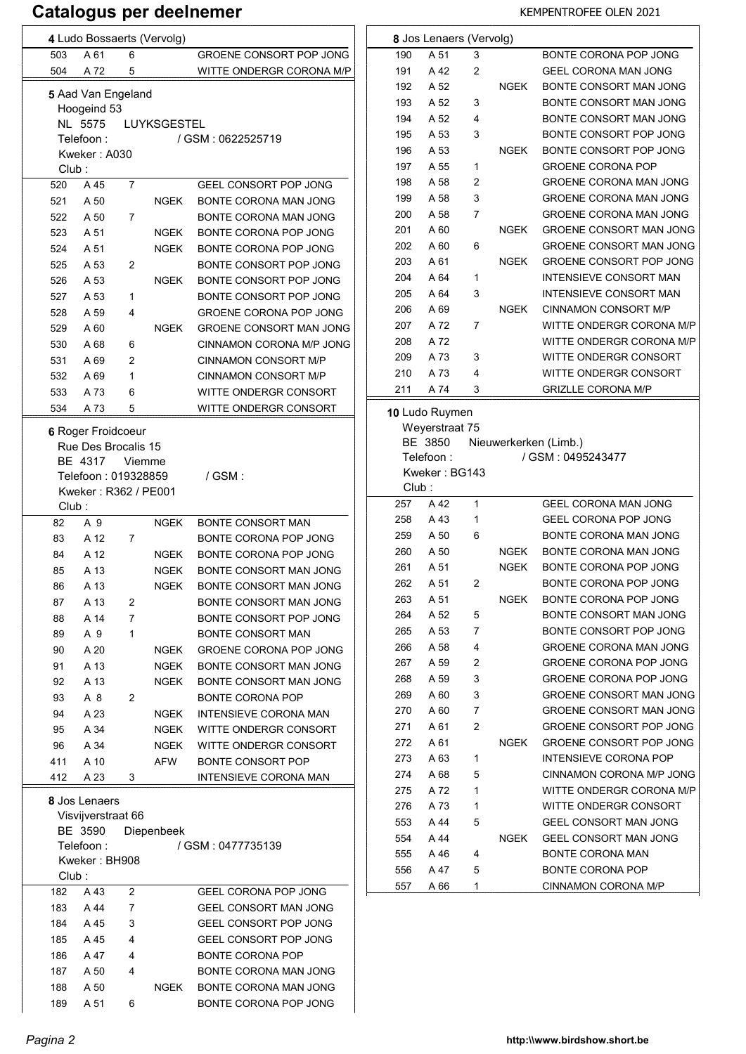|            |                                           |                | 4 Ludo Bossaerts (Vervolg) |                                                            |  |  |  |
|------------|-------------------------------------------|----------------|----------------------------|------------------------------------------------------------|--|--|--|
| 503        | A 61                                      | 6              |                            | GROENE CONSORT POP JONG                                    |  |  |  |
| 504        | A 72                                      | 5              |                            | WITTE ONDERGR CORONA M/P                                   |  |  |  |
|            | 5 Aad Van Engeland<br>Hoogeind 53         |                |                            |                                                            |  |  |  |
|            | NL 5575                                   |                | LUYKSGESTEL                |                                                            |  |  |  |
|            | Telefoon:                                 |                |                            | / GSM: 0622525719                                          |  |  |  |
| Club:      | Kweker: A030                              |                |                            |                                                            |  |  |  |
| 520        | A 45                                      | 7              |                            | GEEL CONSORT POP JONG                                      |  |  |  |
| 521        | A 50                                      |                | NGEK                       | BONTE CORONA MAN JONG                                      |  |  |  |
| 522        | A 50                                      | 7              |                            | BONTE CORONA MAN JONG                                      |  |  |  |
| 523        | A 51                                      |                | NGEK                       | BONTE CORONA POP JONG                                      |  |  |  |
| 524        | A 51                                      |                | NGEK                       | BONTE CORONA POP JONG                                      |  |  |  |
| 525        | A 53                                      | 2              |                            | BONTE CONSORT POP JONG                                     |  |  |  |
| 526        | A 53                                      |                | <b>NGEK</b>                | BONTE CONSORT POP JONG                                     |  |  |  |
| 527        | A 53                                      | 1              |                            | BONTE CONSORT POP JONG                                     |  |  |  |
| 528        | A 59                                      | 4              |                            | GROENE CORONA POP JONG                                     |  |  |  |
| 529        | A 60                                      |                | NGEK                       | <b>GROENE CONSORT MAN JONG</b><br>CINNAMON CORONA M/P JONG |  |  |  |
| 530<br>531 | A 68<br>A 69                              | 6<br>2         |                            | <b>CINNAMON CONSORT M/P</b>                                |  |  |  |
| 532        | A 69                                      | 1              |                            | <b>CINNAMON CONSORT M/P</b>                                |  |  |  |
| 533        | A 73                                      | 6              |                            | WITTE ONDERGR CONSORT                                      |  |  |  |
| 534        | A 73                                      | 5              |                            | WITTE ONDERGR CONSORT                                      |  |  |  |
|            |                                           |                |                            |                                                            |  |  |  |
|            | 6 Roger Froidcoeur<br>Rue Des Brocalis 15 |                |                            |                                                            |  |  |  |
|            | BE 4317                                   | Viemme         |                            |                                                            |  |  |  |
|            | Telefoon: 019328859                       |                |                            | $/$ GSM :                                                  |  |  |  |
|            | Kweker: R362 / PE001                      |                |                            |                                                            |  |  |  |
| Club:      |                                           |                |                            |                                                            |  |  |  |
| 82         | A 9                                       |                | <b>NGEK</b>                | <b>BONTE CONSORT MAN</b>                                   |  |  |  |
| 83         | A 12                                      | 7              |                            | BONTE CORONA POP JONG                                      |  |  |  |
| 84         | A 12                                      |                |                            | BONTE CORONA POP JONG                                      |  |  |  |
|            |                                           |                | NGEK                       |                                                            |  |  |  |
| 85         | A 13                                      |                | <b>NGEK</b>                | BONTE CONSORT MAN JONG                                     |  |  |  |
| 86         | A 13                                      |                | NGEK                       | BONTE CONSORT MAN JONG                                     |  |  |  |
| 87         | A 13                                      | 2              |                            | BONTE CONSORT MAN JONG                                     |  |  |  |
| 88         | A 14                                      | $\overline{7}$ |                            | BONTE CONSORT POP JONG                                     |  |  |  |
| 89         | A 9<br>A 20                               | 1              |                            | <b>BONTE CONSORT MAN</b>                                   |  |  |  |
| 90<br>91   | A 13                                      |                | NGEK<br>NGEK               | GROENE CORONA POP JONG<br>BONTE CONSORT MAN JONG           |  |  |  |
| 92         | A 13                                      |                | NGEK                       | BONTE CONSORT MAN JONG                                     |  |  |  |
| 93         | A 8                                       | 2              |                            | <b>BONTE CORONA POP</b>                                    |  |  |  |
| 94         | A 23                                      |                | NGEK                       | INTENSIEVE CORONA MAN                                      |  |  |  |
| 95         | A 34                                      |                | NGEK                       | WITTE ONDERGR CONSORT                                      |  |  |  |
| 96         | A 34                                      |                | NGEK                       | WITTE ONDERGR CONSORT                                      |  |  |  |
| 411        | A 10                                      |                | AFW                        | <b>BONTE CONSORT POP</b>                                   |  |  |  |
| 412        | A 23                                      | 3              |                            | INTENSIEVE CORONA MAN                                      |  |  |  |
|            | 8 Jos Lenaers                             |                |                            |                                                            |  |  |  |
|            | Visvijverstraat 66                        |                |                            |                                                            |  |  |  |
|            | BE 3590                                   |                | Diepenbeek                 |                                                            |  |  |  |
|            | Telefoon:                                 |                |                            | / GSM : 0477735139                                         |  |  |  |
|            | Kweker: BH908                             |                |                            |                                                            |  |  |  |
| Club:      |                                           |                |                            |                                                            |  |  |  |
| 182        | A 43                                      | 2              |                            | GEEL CORONA POP JONG                                       |  |  |  |
| 183        | A 44                                      | 7              |                            | GEEL CONSORT MAN JONG                                      |  |  |  |
| 184<br>185 | A 45<br>A 45                              | 3<br>4         |                            | GEEL CONSORT POP JONG<br>GEEL CONSORT POP JONG             |  |  |  |
| 186        | A 47                                      | 4              |                            | <b>BONTE CORONA POP</b>                                    |  |  |  |
| 187        | A 50                                      | 4              |                            | BONTE CORONA MAN JONG                                      |  |  |  |
| 188        | A 50                                      |                | NGEK                       | BONTE CORONA MAN JONG                                      |  |  |  |

|            | 8 Jos Lenaers (Vervolg)                 |        |             |                                                |  |  |
|------------|-----------------------------------------|--------|-------------|------------------------------------------------|--|--|
| 190        | A 51                                    | 3      |             | BONTE CORONA POP JONG                          |  |  |
| 191        | A 42                                    | 2      |             | GEEL CORONA MAN JONG                           |  |  |
| 192        | A 52                                    |        | <b>NGEK</b> | BONTE CONSORT MAN JONG                         |  |  |
| 193        | A 52                                    | 3      |             | BONTE CONSORT MAN JONG                         |  |  |
| 194        | A 52                                    | 4      |             | BONTE CONSORT MAN JONG                         |  |  |
| 195        | A 53                                    | 3      |             | BONTE CONSORT POP JONG                         |  |  |
| 196        | A 53                                    |        | NGEK        | BONTE CONSORT POP JONG                         |  |  |
| 197        | A 55                                    | 1      |             | <b>GROENE CORONA POP</b>                       |  |  |
| 198        | A 58                                    | 2      |             | GROENE CORONA MAN JONG                         |  |  |
| 199        | A 58                                    | 3      |             | GROENE CORONA MAN JONG                         |  |  |
| 200        | A 58                                    | 7      |             | <b>GROENE CORONA MAN JONG</b>                  |  |  |
| 201        | A 60                                    |        | NGEK        | <b>GROENE CONSORT MAN JONG</b>                 |  |  |
| 202        | A 60                                    | 6      |             | <b>GROENE CONSORT MAN JONG</b>                 |  |  |
| 203        | A 61                                    |        | <b>NGEK</b> | GROENE CONSORT POP JONG                        |  |  |
| 204        | A 64                                    | 1      |             | <b>INTENSIEVE CONSORT MAN</b>                  |  |  |
|            | A 64                                    |        |             | <b>INTENSIEVE CONSORT MAN</b>                  |  |  |
| 205        |                                         | 3      |             |                                                |  |  |
| 206        | A 69                                    |        | <b>NGEK</b> | <b>CINNAMON CONSORT M/P</b>                    |  |  |
| 207        | A 72                                    | 7      |             | WITTE ONDERGR CORONA M/P                       |  |  |
| 208        | A 72                                    |        |             | WITTE ONDERGR CORONA M/P                       |  |  |
| 209        | A 73                                    | 3      |             | WITTE ONDERGR CONSORT                          |  |  |
| 210        | A 73                                    | 4      |             | WITTE ONDERGR CONSORT                          |  |  |
| 211        | A 74                                    | 3      |             | <b>GRIZLLE CORONA M/P</b>                      |  |  |
|            | Weyerstraat 75<br>BE 3850<br>Telefoon : |        |             | Nieuwerkerken (Limb.)                          |  |  |
|            |                                         |        |             | / GSM: 0495243477                              |  |  |
|            | Kweker: BG143                           |        |             |                                                |  |  |
| Club:      |                                         |        |             |                                                |  |  |
| 257        | A 42                                    | 1      |             | <b>GEEL CORONA MAN JONG</b>                    |  |  |
| 258        | A 43                                    | 1      |             | GEEL CORONA POP JONG                           |  |  |
| 259        | A 50                                    | 6      |             | BONTE CORONA MAN JONG                          |  |  |
| 260        | A 50                                    |        | NGEK        | BONTE CORONA MAN JONG                          |  |  |
| 261        | A 51                                    |        | NGEK        | BONTE CORONA POP JONG                          |  |  |
| 262        | A 51                                    | 2      |             | BONTE CORONA POP JONG                          |  |  |
| 263        | A 51                                    |        | <b>NGEK</b> | BONTE CORONA POP JONG                          |  |  |
| 264        | A 52                                    | 5      |             | BONTE CONSORT MAN JONG                         |  |  |
| 265        | A 53                                    | 7      |             | BONTE CONSORT POP JONG                         |  |  |
| 266        |                                         | 4      |             | <b>GROENE CORONA MAN JONG</b>                  |  |  |
|            | A 58                                    |        |             |                                                |  |  |
| 267        | A 59                                    | 2      |             | <b>GROENE CORONA POP JONG</b>                  |  |  |
| 268        | A 59                                    | 3      |             | <b>GROENE CORONA POP JONG</b>                  |  |  |
| 269        | A 60                                    | 3      |             | <b>GROENE CONSORT MAN JONG</b>                 |  |  |
| 270        | A 60                                    | 7      |             | <b>GROENE CONSORT MAN JONG</b>                 |  |  |
| 271        | A 61                                    | 2      |             | GROENE CONSORT POP JONG                        |  |  |
| 272        | A 61                                    |        | NGEK        | GROENE CONSORT POP JONG                        |  |  |
| 273        | A 63                                    | 1      |             | <b>INTENSIEVE CORONA POP</b>                   |  |  |
| 274        | A 68                                    | 5      |             | CINNAMON CORONA M/P JONG                       |  |  |
| 275        | A 72                                    | 1      |             | WITTE ONDERGR CORONA M/P                       |  |  |
| 276        | A 73                                    | 1      |             | WITTE ONDERGR CONSORT                          |  |  |
| 553        | A 44                                    | 5      |             | GEEL CONSORT MAN JONG                          |  |  |
| 554        | A 44                                    |        | NGEK        | GEEL CONSORT MAN JONG                          |  |  |
| 555        | A 46                                    | 4      |             | <b>BONTE CORONA MAN</b>                        |  |  |
| 556<br>557 | A 47<br>A 66                            | 5<br>1 |             | <b>BONTE CORONA POP</b><br>CINNAMON CORONA M/P |  |  |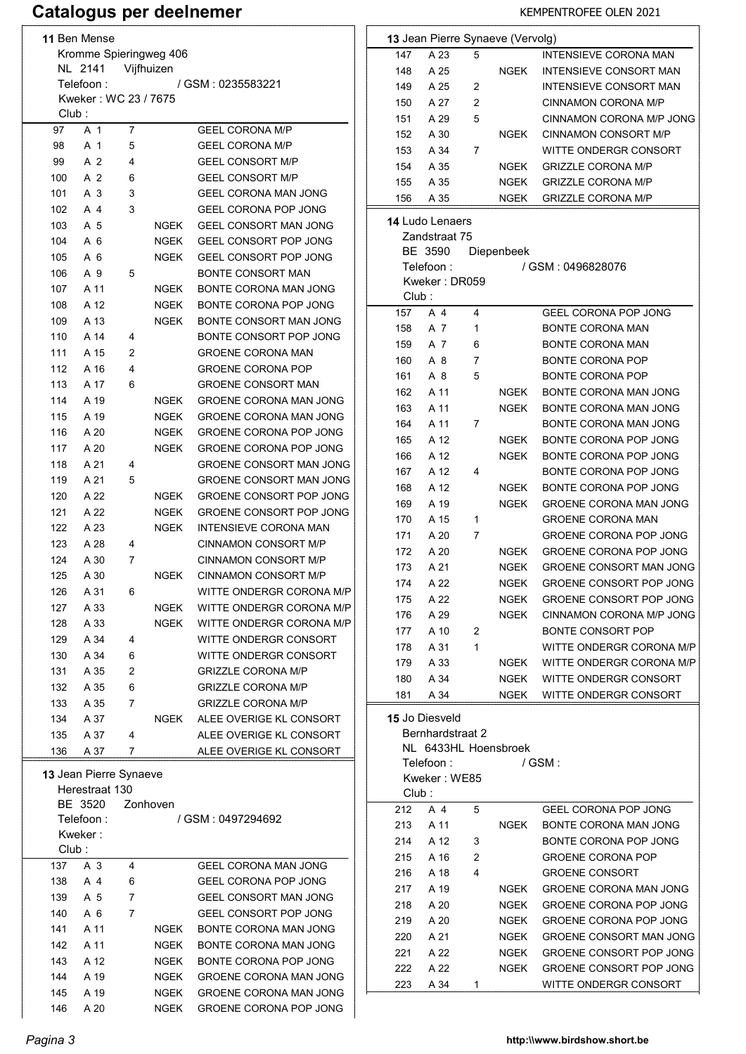# Catalogus per deelnemer KEMPENTROFEE OLEN 2021

| 11 Ben Mense           |                                    |   |          |                                                    |  |  |
|------------------------|------------------------------------|---|----------|----------------------------------------------------|--|--|
| Kromme Spieringweg 406 |                                    |   |          |                                                    |  |  |
| NL 2141<br>Vijfhuizen  |                                    |   |          |                                                    |  |  |
|                        | Telefoon :<br>Kweker: WC 23 / 7675 |   |          | / GSM : 0235583221                                 |  |  |
| Club:                  |                                    |   |          |                                                    |  |  |
| 97                     | A 1                                | 7 |          | <b>GEEL CORONA M/P</b>                             |  |  |
| 98                     | A 1                                | 5 |          | <b>GEEL CORONA M/P</b>                             |  |  |
| 99                     | A 2                                | 4 |          | <b>GEEL CONSORT M/P</b>                            |  |  |
| 100                    | A 2                                | 6 |          | <b>GEEL CONSORT M/P</b>                            |  |  |
| 101                    | A 3                                | 3 |          | <b>GEEL CORONA MAN JONG</b>                        |  |  |
| 102                    | A 4                                | 3 |          | <b>GEEL CORONA POP JONG</b>                        |  |  |
| 103                    | A 5                                |   | NGEK     | GEEL CONSORT MAN JONG                              |  |  |
| 104                    | A 6                                |   | NGEK     | GEEL CONSORT POP JONG                              |  |  |
| 105                    | A <sub>6</sub>                     |   | NGEK     | <b>GEEL CONSORT POP JONG</b>                       |  |  |
| 106                    | A 9                                | 5 |          | <b>BONTE CONSORT MAN</b>                           |  |  |
| 107                    | A 11                               |   | NGEK     | BONTE CORONA MAN JONG                              |  |  |
| 108                    | A 12                               |   | NGEK     | BONTE CORONA POP JONG                              |  |  |
| 109                    | A 13                               |   | NGEK     | BONTE CONSORT MAN JONG                             |  |  |
| 110                    | A 14                               | 4 |          | BONTE CONSORT POP JONG                             |  |  |
| 111                    | A 15                               | 2 |          | <b>GROENE CORONA MAN</b>                           |  |  |
| 112                    | A 16                               | 4 |          | <b>GROENE CORONA POP</b>                           |  |  |
| 113                    | A 17                               | 6 |          | <b>GROENE CONSORT MAN</b>                          |  |  |
| 114                    | A 19                               |   | NGEK     | <b>GROENE CORONA MAN JONG</b>                      |  |  |
| 115                    | A 19                               |   | NGEK     | <b>GROENE CORONA MAN JONG</b>                      |  |  |
| 116                    | A 20                               |   | NGEK     | <b>GROENE CORONA POP JONG</b>                      |  |  |
| 117                    | A 20                               |   | NGEK     | <b>GROENE CORONA POP JONG</b>                      |  |  |
| 118                    | A 21                               | 4 |          | <b>GROENE CONSORT MAN JONG</b>                     |  |  |
| 119                    | A 21                               | 5 |          | <b>GROENE CONSORT MAN JONG</b>                     |  |  |
| 120                    | A 22                               |   | NGEK     | GROENE CONSORT POP JONG                            |  |  |
| 121                    | A 22                               |   | NGEK     | <b>GROENE CONSORT POP JONG</b>                     |  |  |
| 122                    | A 23                               |   | NGEK     | <b>INTENSIEVE CORONA MAN</b>                       |  |  |
| 123                    | A 28                               | 4 |          | CINNAMON CONSORT M/P                               |  |  |
| 124                    | A 30                               | 7 |          | CINNAMON CONSORT M/P                               |  |  |
| 125                    | A 30                               |   | NGEK     | <b>CINNAMON CONSORT M/P</b>                        |  |  |
| 126                    | A 31                               | 6 |          | WITTE ONDERGR CORONA M/P                           |  |  |
| 127                    | A 33                               |   | NGEK     | WITTE ONDERGR CORONA M/P                           |  |  |
| 128                    | A 33                               |   | NGEK     | WITTE ONDERGR CORONA M/P                           |  |  |
| 129                    | A 34                               | 4 |          | WITTE ONDERGR CONSORT                              |  |  |
| 130                    | A 34                               | 6 |          | WITTE ONDERGR CONSORT                              |  |  |
| 131                    | A 35                               | 2 |          | <b>GRIZZLE CORONA M/P</b>                          |  |  |
| 132                    | A 35                               | 6 |          | <b>GRIZZLE CORONA M/P</b>                          |  |  |
| 133                    | A 35                               | 7 |          | <b>GRIZZLE CORONA M/P</b>                          |  |  |
| 134<br>135             | A 37<br>A 37                       | 4 | NGEK     | ALEE OVERIGE KL CONSORT<br>ALEE OVERIGE KL CONSORT |  |  |
| 136                    | A 37                               | 7 |          | ALEE OVERIGE KL CONSORT                            |  |  |
|                        |                                    |   |          |                                                    |  |  |
|                        | 13 Jean Pierre Synaeve             |   |          |                                                    |  |  |
|                        | Herestraat 130                     |   |          |                                                    |  |  |
|                        | BE 3520                            |   | Zonhoven |                                                    |  |  |
|                        | Telefoon:<br>Kweker:               |   |          | / GSM: 0497294692                                  |  |  |
| Club:                  |                                    |   |          |                                                    |  |  |
| 137                    | A 3                                | 4 |          | GEEL CORONA MAN JONG                               |  |  |
| 138                    | A 4                                | 6 |          | <b>GEEL CORONA POP JONG</b>                        |  |  |
| 139                    | A 5                                | 7 |          | GEEL CONSORT MAN JONG                              |  |  |
| 140                    | A 6                                | 7 |          | GEEL CONSORT POP JONG                              |  |  |
| 141                    | A 11                               |   | NGEK     | BONTE CORONA MAN JONG                              |  |  |
| 142                    | A 11                               |   | NGEK     | BONTE CORONA MAN JONG                              |  |  |
| 143                    | A 12                               |   | NGEK     | BONTE CORONA POP JONG                              |  |  |
| 144                    | A 19                               |   | NGEK     | <b>GROENE CORONA MAN JONG</b>                      |  |  |
| 145                    | A 19                               |   | NGEK     | <b>GROENE CORONA MAN JONG</b>                      |  |  |
| 146                    | A 20                               |   | NGEK     | <b>GROENE CORONA POP JONG</b>                      |  |  |

|        |                        |   | 13 Jean Pierre Synaeve (Vervolg) |                                |
|--------|------------------------|---|----------------------------------|--------------------------------|
| 147    | A 23                   | 5 |                                  | <b>INTENSIEVE CORONA MAN</b>   |
| 148    | A 25                   |   | NGEK                             | INTENSIEVE CONSORT MAN         |
| 149    | A 25                   | 2 |                                  | INTENSIEVE CONSORT MAN         |
| 150    | A 27                   | 2 |                                  | CINNAMON CORONA M/P            |
| 151    | A 29                   | 5 |                                  | CINNAMON CORONA M/P JONG       |
| 152    | A 30                   |   | NGEK                             | <b>CINNAMON CONSORT M/P</b>    |
| 153    | A 34                   | 7 |                                  | WITTE ONDERGR CONSORT          |
| 154    | A 35                   |   | NGEK                             | <b>GRIZZLE CORONA M/P</b>      |
| 155    | A 35                   |   | NGEK                             | <b>GRIZZLE CORONA M/P</b>      |
| 156    | A 35                   |   | NGEK                             | <b>GRIZZLE CORONA M/P</b>      |
|        | <b>14 Ludo Lenaers</b> |   |                                  |                                |
|        | Zandstraat 75          |   |                                  |                                |
|        | BE 3590                |   | Diepenbeek                       |                                |
|        | Telefoon:              |   |                                  | / GSM : 0496828076             |
|        | Kweker: DR059          |   |                                  |                                |
| Club:  |                        |   |                                  |                                |
| 157    | A 4                    | 4 |                                  | <b>GEEL CORONA POP JONG</b>    |
| 158    | A 7                    | 1 |                                  | <b>BONTE CORONA MAN</b>        |
| 159    | A 7                    | 6 |                                  | BONTE CORONA MAN               |
| 160    | A 8                    | 7 |                                  | <b>BONTE CORONA POP</b>        |
| 161    | A 8                    | 5 |                                  | <b>BONTE CORONA POP</b>        |
| 162    | A 11                   |   | NGEK                             | BONTE CORONA MAN JONG          |
| 163    | A 11                   |   | NGEK                             | BONTE CORONA MAN JONG          |
| 164    | A 11                   | 7 |                                  | BONTE CORONA MAN JONG          |
| 165    | A 12                   |   | NGEK                             | BONTE CORONA POP JONG          |
| 166    | A 12                   |   | NGEK                             | BONTE CORONA POP JONG          |
| 167    | A 12                   | 4 |                                  | BONTE CORONA POP JONG          |
| 168    | A 12                   |   | NGEK                             | BONTE CORONA POP JONG          |
| 169    | A 19                   |   | NGEK                             | <b>GROENE CORONA MAN JONG</b>  |
| 170    | A 15                   | 1 |                                  | <b>GROENE CORONA MAN</b>       |
| 171    | A 20                   | 7 |                                  | GROENE CORONA POP JONG         |
| 172    | A 20                   |   | NGEK                             | GROENE CORONA POP JONG         |
| 173    | A 21                   |   | NGEK                             | GROENE CONSORT MAN JONG        |
| 174    | A 22                   |   | NGEK                             | GROENE CONSORT POP JONG        |
| 175    | A 22                   |   | NGEK                             | GROENE CONSORT POP JONG        |
| 176    | A 29                   |   | NGEK                             | CINNAMON CORONA M/P JONG       |
| 177    | A 10                   | 2 |                                  | <b>BONTE CONSORT POP</b>       |
| 178    | A 31                   | 1 |                                  | WITTE ONDERGR CORONA M/P       |
| 179    | A 33                   |   | NGEK                             | WITTE ONDERGR CORONA M/P       |
| 180    | A 34                   |   | NGEK                             | WITTE ONDERGR CONSORT          |
| 181    | A 34                   |   | NGEK                             | WITTE ONDERGR CONSORT          |
|        | <b>15 Jo Diesveld</b>  |   |                                  |                                |
|        | Bernhardstraat 2       |   |                                  |                                |
|        |                        |   | NL 6433HL Hoensbroek             |                                |
|        | Telefoon :             |   |                                  | / GSM :                        |
|        | Kweker: WE85           |   |                                  |                                |
| Club : |                        |   |                                  |                                |
| 212    | A 4                    | 5 |                                  | <b>GEEL CORONA POP JONG</b>    |
| 213    | A 11                   |   | NGEK                             | BONTE CORONA MAN JONG          |
| 214    | A 12                   | 3 |                                  | BONTE CORONA POP JONG          |
| 215    | A 16                   | 2 |                                  | <b>GROENE CORONA POP</b>       |
| 216    | A 18                   | 4 |                                  | <b>GROENE CONSORT</b>          |
| 217    | A 19                   |   | NGEK                             | <b>GROENE CORONA MAN JONG</b>  |
| 218    | A 20                   |   | NGEK                             | <b>GROENE CORONA POP JONG</b>  |
| 219    | A 20                   |   | NGEK                             | <b>GROENE CORONA POP JONG</b>  |
| 220    | A 21                   |   | NGEK                             | <b>GROENE CONSORT MAN JONG</b> |
| 221    | A 22                   |   | NGEK                             | GROENE CONSORT POP JONG        |
| 222    | A 22                   |   | NGEK                             | GROENE CONSORT POP JONG        |
| 223    | A 34                   | 1 |                                  | WITTE ONDERGR CONSORT          |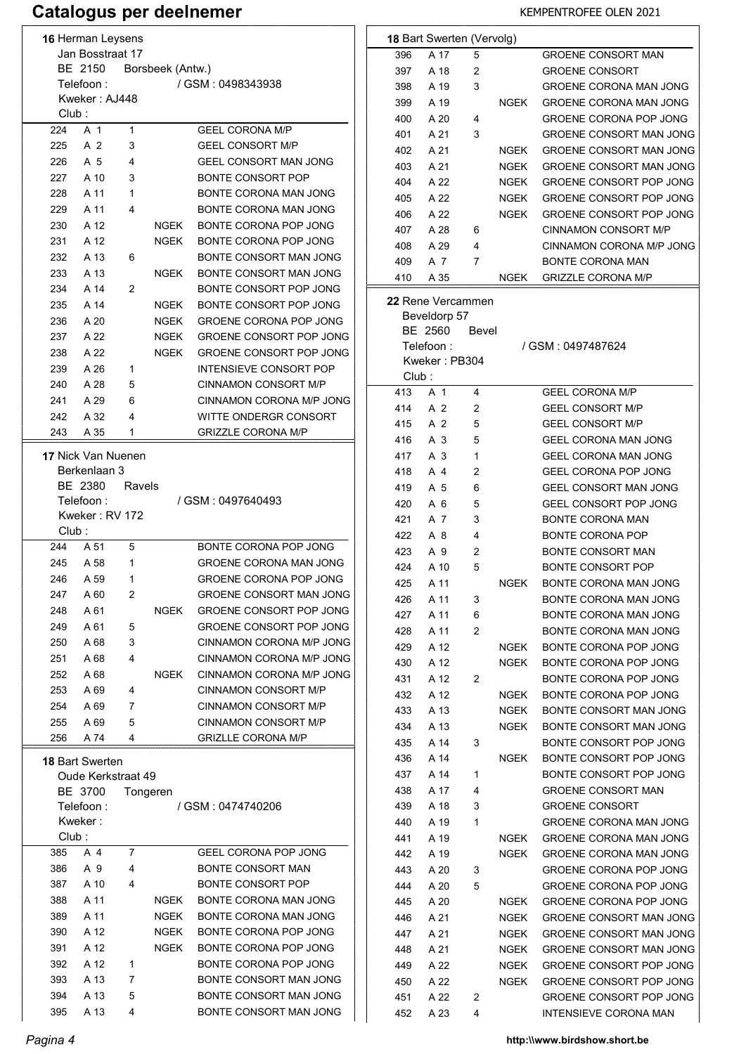|                  | 16 Herman Leysens      |        |                  |                                |
|------------------|------------------------|--------|------------------|--------------------------------|
| Jan Bosstraat 17 |                        |        |                  |                                |
|                  | BE 2150                |        | Borsbeek (Antw.) |                                |
|                  | Telefoon :             |        |                  | / GSM: 0498343938              |
| Club:            | Kweker: AJ448          |        |                  |                                |
| 224              | A 1                    | 1      |                  | <b>GEEL CORONA M/P</b>         |
| 225              | A 2                    | 3      |                  | <b>GEEL CONSORT M/P</b>        |
| 226              | A 5                    | 4      |                  | <b>GEEL CONSORT MAN JONG</b>   |
| 227              | A 10                   | 3      |                  | <b>BONTE CONSORT POP</b>       |
| 228              | A 11                   | 1      |                  | BONTE CORONA MAN JONG          |
| 229              | A 11                   | 4      |                  | BONTE CORONA MAN JONG          |
| 230              | A 12                   |        | NGEK             | BONTE CORONA POP JONG          |
| 231              | A 12                   |        | NGEK             | BONTE CORONA POP JONG          |
| 232              | A 13                   | 6      |                  | BONTE CONSORT MAN JONG         |
| 233              | A 13                   |        | <b>NGFK</b>      | BONTE CONSORT MAN JONG         |
| 234              | A 14                   | 2      |                  | BONTE CONSORT POP JONG         |
| 235              | A 14                   |        | <b>NGEK</b>      | BONTE CONSORT POP JONG         |
| 236              | A 20                   |        | NGEK             | <b>GROENE CORONA POP JONG</b>  |
| 237              | A 22                   |        | NGEK             | GROENE CONSORT POP JONG        |
| 238              | A 22                   |        | NGEK             | <b>GROENE CONSORT POP JONG</b> |
| 239              | A 26                   | 1      |                  | <b>INTENSIEVE CONSORT POP</b>  |
| 240              | A 28                   | 5      |                  | CINNAMON CONSORT M/P           |
| 241              | A 29                   | 6      |                  | CINNAMON CORONA M/P JONG       |
| 242              | A 32                   | 4      |                  | WITTE ONDERGR CONSORT          |
| 243              | A 35                   | 1      |                  | <b>GRIZZLE CORONA M/P</b>      |
|                  | 17 Nick Van Nuenen     |        |                  |                                |
|                  | Berkenlaan 3           |        |                  |                                |
|                  | BE 2380                | Ravels |                  |                                |
|                  | Telefoon :             |        |                  | / GSM : 0497640493             |
|                  | Kweker: RV 172         |        |                  |                                |
| Club :           |                        |        |                  |                                |
| 244              | A 51                   | 5      |                  | BONTE CORONA POP JONG          |
|                  | 245 A 58               | 1      |                  | <b>GROENE CORONA MAN JONG</b>  |
| 246              | A 59                   | 1      |                  | GROENE CORONA POP JONG         |
| 247              | A 60                   | 2      |                  | <b>GROENE CONSORT MAN JONG</b> |
| 248              | A 61                   |        | NGEK             | GROENE CONSORT POP JONG        |
| 249              | A 61                   | 5      |                  | <b>GROENE CONSORT POP JONG</b> |
| 250              | A 68                   | 3      |                  | CINNAMON CORONA M/P JONG       |
| 251              | A 68                   | 4      |                  | CINNAMON CORONA M/P JONG       |
| 252              | A 68                   |        | NGEK             | CINNAMON CORONA M/P JONG       |
| 253              | A 69                   | 4      |                  | CINNAMON CONSORT M/P           |
| 254              | A 69                   | 7      |                  | CINNAMON CONSORT M/P           |
| 255              | A 69                   | 5      |                  | CINNAMON CONSORT M/P           |
| 256              | A 74                   | 4      |                  | <b>GRIZLLE CORONA M/P</b>      |
|                  | <b>18 Bart Swerten</b> |        |                  |                                |
|                  | Oude Kerkstraat 49     |        |                  |                                |
|                  | BE 3700                |        | Tongeren         |                                |
|                  | Telefoon:              |        |                  | / GSM : 0474740206             |
|                  | Kweker:                |        |                  |                                |
| Club:            |                        |        |                  |                                |
| 385              | A 4                    | 7      |                  | <b>GEEL CORONA POP JONG</b>    |
| 386              | A 9                    | 4      |                  | <b>BONTE CONSORT MAN</b>       |
| 387              | A 10                   | 4      |                  | <b>BONTE CONSORT POP</b>       |
| 388              | A 11                   |        | NGEK             | BONTE CORONA MAN JONG          |
| 389              | A 11                   |        | NGEK             | BONTE CORONA MAN JONG          |
| 390              | A 12                   |        | NGEK             | BONTE CORONA POP JONG          |
| 391              | A 12                   |        | NGEK             | BONTE CORONA POP JONG          |
| 392              | A 12                   | 1      |                  | BONTE CORONA POP JONG          |
| 393              | A 13                   | 7      |                  | BONTE CONSORT MAN JONG         |
| 394              | A 13                   | 5      |                  | BONTE CONSORT MAN JONG         |
|                  |                        | 4      |                  | BONTE CONSORT MAN JONG         |

|       | <b>18 Bart Swerten (Vervolg)</b> |       |             |                                |
|-------|----------------------------------|-------|-------------|--------------------------------|
| 396   | A 17                             | 5     |             | <b>GROENE CONSORT MAN</b>      |
| 397   | A 18                             | 2     |             | <b>GROENE CONSORT</b>          |
| 398   | A 19                             | 3     |             | <b>GROENE CORONA MAN JONG</b>  |
| 399   | A 19                             |       | NGEK        | <b>GROENE CORONA MAN JONG</b>  |
| 400   | A 20                             | 4     |             | GROENE CORONA POP JONG         |
| 401   | A 21                             | 3     |             | GROENE CONSORT MAN JONG        |
| 402   | A 21                             |       | NGEK        | <b>GROENE CONSORT MAN JONG</b> |
| 403   | A 21                             |       | NGEK        | GROENE CONSORT MAN JONG        |
| 404   | A 22                             |       | NGEK        | <b>GROENE CONSORT POP JONG</b> |
| 405   | A 22                             |       | NGEK        | <b>GROENE CONSORT POP JONG</b> |
| 406   | A 22                             |       | NGEK        | <b>GROENE CONSORT POP JONG</b> |
| 407   | A 28                             | 6     |             | CINNAMON CONSORT M/P           |
| 408   | A 29                             | 4     |             | CINNAMON CORONA M/P JONG       |
| 409   | A 7                              | 7     |             | <b>BONTE CORONA MAN</b>        |
| 410   | A 35                             |       | <b>NGEK</b> | <b>GRIZZLE CORONA M/P</b>      |
|       | 22 Rene Vercammen                |       |             |                                |
|       | Beveldorp 57                     |       |             |                                |
|       | BE 2560                          | Bevel |             |                                |
|       | Telefoon :                       |       |             | / GSM : 0497487624             |
|       | Kweker: PB304                    |       |             |                                |
| Club: |                                  |       |             |                                |
| 413   | A 1                              | 4     |             | <b>GEEL CORONA M/P</b>         |
| 414   | A 2                              | 2     |             | <b>GEEL CONSORT M/P</b>        |
| 415   | A 2                              | 5     |             | <b>GEEL CONSORT M/P</b>        |
| 416   | A 3                              | 5     |             | <b>GEEL CORONA MAN JONG</b>    |
| 417   | A 3                              | 1     |             | <b>GEEL CORONA MAN JONG</b>    |
| 418   | A 4                              | 2     |             | GEEL CORONA POP JONG           |
| 419   | A 5                              | 6     |             | <b>GEEL CONSORT MAN JONG</b>   |
| 420   | A 6                              | 5     |             | <b>GEEL CONSORT POP JONG</b>   |
| 421   | A 7                              | 3     |             | <b>BONTE CORONA MAN</b>        |
| 422   | A 8                              | 4     |             | <b>BONTE CORONA POP</b>        |
| 423   | A 9                              | 2     |             | <b>BONTE CONSORT MAN</b>       |
| 424   | A 10                             | 5     |             | <b>BONTE CONSORT POP</b>       |
| 425   | A 11                             |       | NGEK        | BONTE CORONA MAN JONG          |
| 426   | A 11                             | 3     |             | BONTE CORONA MAN JONG          |
| 427   | A 11                             | 6     |             | BONTE CORONA MAN JONG          |
| 428   | A 11                             | 2     |             | BONTE CORONA MAN JONG          |
| 429   | A 12                             |       | <b>NGEK</b> | BONTE CORONA POP JONG          |
| 430   | A 12                             |       | NGEK        | BONTE CORONA POP JONG          |
| 431   | A 12                             | 2     |             | BONTE CORONA POP JONG          |
| 432   | A 12                             |       | <b>NGEK</b> | BONTE CORONA POP JONG          |
| 433   | A 13                             |       | NGEK        | BONTE CONSORT MAN JONG         |
| 434   | A 13                             |       | NGEK        | BONTE CONSORT MAN JONG         |
| 435   | A 14                             | 3     |             | BONTE CONSORT POP JONG         |
| 436   | A 14                             |       | NGEK        | BONTE CONSORT POP JONG         |
| 437   | A 14                             | 1     |             | BONTE CONSORT POP JONG         |
| 438   | A 17                             | 4     |             | <b>GROENE CONSORT MAN</b>      |
| 439   | A 18                             | 3     |             | <b>GROENE CONSORT</b>          |
| 440   | A 19                             | 1     |             | GROENE CORONA MAN JONG         |
| 441   | A 19                             |       | NGEK        | <b>GROENE CORONA MAN JONG</b>  |
| 442   | A 19                             |       | NGEK        | <b>GROENE CORONA MAN JONG</b>  |
| 443   | A 20                             | 3     |             | <b>GROENE CORONA POP JONG</b>  |
| 444   | A 20                             | 5     |             | <b>GROENE CORONA POP JONG</b>  |
| 445   | A 20                             |       | NGEK        | <b>GROENE CORONA POP JONG</b>  |
| 446   | A 21                             |       | NGEK        | <b>GROENE CONSORT MAN JONG</b> |
| 447   | A 21                             |       | NGEK        | <b>GROENE CONSORT MAN JONG</b> |
| 448   | A 21                             |       | NGEK        | GROENE CONSORT MAN JONG        |
| 449   | A 22                             |       | NGEK        | GROENE CONSORT POP JONG        |
| 450   | A 22                             |       | NGEK        | GROENE CONSORT POP JONG        |
| 451   | A 22                             | 2     |             | GROENE CONSORT POP JONG        |
| 452   | A 23                             | 4     |             | INTENSIEVE CORONA MAN          |

### Pagina 4 http:\\www.birdshow.short.be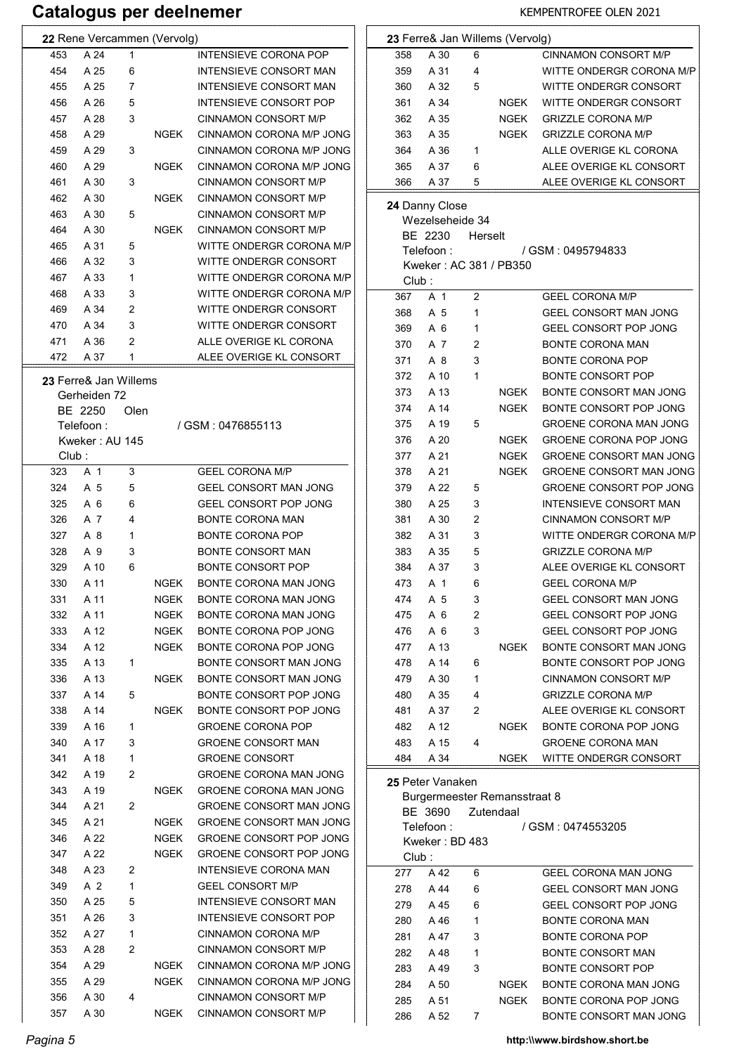# Catalogus per deelnemer KEMPENTROFEE OLEN 2021

| 22 Rene Vercammen (Vervolg)      |      |                                | $\mathbf{2}$ |
|----------------------------------|------|--------------------------------|--------------|
| 1<br>453<br>A 24                 |      | <b>INTENSIEVE CORONA POP</b>   |              |
| 454<br>A 25<br>6                 |      | INTENSIEVE CONSORT MAN         |              |
| 455<br>A 25<br>7                 |      | INTENSIEVE CONSORT MAN         |              |
| 456<br>A 26<br>5                 |      | INTENSIEVE CONSORT POP         |              |
| 457<br>A 28<br>3                 |      | <b>CINNAMON CONSORT M/P</b>    |              |
| A 29<br>458                      | NGEK | CINNAMON CORONA M/P JONG       |              |
| A 29<br>3<br>459                 |      | CINNAMON CORONA M/P JONG       |              |
| A 29<br>460                      | NGEK | CINNAMON CORONA M/P JONG       |              |
| 3<br>461<br>A 30                 |      | <b>CINNAMON CONSORT M/P</b>    |              |
| 462<br>A 30                      | NGEK | CINNAMON CONSORT M/P           |              |
| 463<br>A 30<br>5                 |      | CINNAMON CONSORT M/P           | $\mathbf{2}$ |
| 464<br>A 30                      | NGEK | CINNAMON CONSORT M/P           |              |
| 465<br>A 31<br>5                 |      | WITTE ONDERGR CORONA M/P       |              |
| 466<br>A 32<br>3                 |      | WITTE ONDERGR CONSORT          |              |
| 467<br>1<br>A 33                 |      | WITTE ONDERGR CORONA M/P       |              |
| 468<br>A 33<br>3                 |      | WITTE ONDERGR CORONA M/P       |              |
| 2<br>A 34<br>469                 |      | WITTE ONDERGR CONSORT          |              |
| 3<br>A 34<br>470                 |      | WITTE ONDERGR CONSORT          |              |
| 2<br>471<br>A 36                 |      | ALLE OVERIGE KL CORONA         |              |
| A 37<br>1<br>472                 |      | ALEE OVERIGE KL CONSORT        |              |
|                                  |      |                                |              |
| <b>23 Ferre&amp; Jan Willems</b> |      |                                |              |
| Gerheiden 72                     |      |                                |              |
| BE 2250<br>Olen                  |      |                                |              |
| Telefoon :                       |      | / GSM: 0476855113              |              |
| Kweker : AU 145                  |      |                                |              |
| Club :                           |      |                                |              |
| 323<br>A 1<br>3                  |      | <b>GEEL CORONA M/P</b>         |              |
| 324<br>5<br>A 5                  |      | GEEL CONSORT MAN JONG          |              |
| 325<br>A 6<br>6                  |      | GEEL CONSORT POP JONG          |              |
| 4<br>326<br>A 7                  |      | <b>BONTE CORONA MAN</b>        |              |
| A 8<br>1<br>327                  |      | <b>BONTE CORONA POP</b>        |              |
| 3<br>328<br>A 9                  |      | <b>BONTE CONSORT MAN</b>       |              |
| 329<br>A 10<br>6                 |      | <b>BONTE CONSORT POP</b>       |              |
| 330<br>A 11                      | NGEK | BONTE CORONA MAN JONG          |              |
| 331<br>A 11                      | NGEK | BONTE CORONA MAN JONG          |              |
| 332<br>A 11                      | NGEK | BONTE CORONA MAN JONG          |              |
| 333<br>A 12                      | NGEK | BONTE CORONA POP JONG          |              |
| 334<br>A 12                      | NGEK | BONTE CORONA POP JONG          |              |
| A 13<br>335<br>1                 |      | BONTE CONSORT MAN JONG         |              |
| A 13<br>336                      | NGEK | BONTE CONSORT MAN JONG         |              |
| A 14<br>337<br>5                 |      | BONTE CONSORT POP JONG         |              |
| 338<br>A 14                      | NGEK | BONTE CONSORT POP JONG         |              |
| 339<br>A 16<br>1                 |      | <b>GROENE CORONA POP</b>       |              |
| 3<br>340<br>A 17                 |      | <b>GROENE CONSORT MAN</b>      |              |
| 341<br>A 18<br>1                 |      | <b>GROENE CONSORT</b>          |              |
| 2<br>342<br>A 19                 |      | <b>GROENE CORONA MAN JONG</b>  |              |
| 343<br>A 19                      | NGEK | <b>GROENE CORONA MAN JONG</b>  | $\mathbf{2}$ |
| 2<br>344<br>A 21                 |      | <b>GROENE CONSORT MAN JONG</b> |              |
| 345<br>A 21                      | NGEK | GROENE CONSORT MAN JONG        |              |
| 346<br>A 22                      | NGEK | GROENE CONSORT POP JONG        |              |
| 347<br>A 22                      | NGEK | GROENE CONSORT POP JONG        |              |
| A 23<br>348<br>2                 |      | INTENSIEVE CORONA MAN          |              |
| 1<br>349<br>A 2                  |      | <b>GEEL CONSORT M/P</b>        |              |
| 5<br>350<br>A 25                 |      | INTENSIEVE CONSORT MAN         |              |
| 3<br>351<br>A 26                 |      | INTENSIEVE CONSORT POP         |              |
| 1<br>352<br>A 27                 |      | CINNAMON CORONA M/P            |              |
| 353<br>A 28<br>2                 |      | CINNAMON CONSORT M/P           |              |
| 354<br>A 29                      | NGEK | CINNAMON CORONA M/P JONG       |              |
| 355<br>A 29                      | NGEK | CINNAMON CORONA M/P JONG       |              |
| 356<br>A 30<br>4                 |      | CINNAMON CONSORT M/P           |              |
| 357<br>A 30                      | NGEK | CINNAMON CONSORT M/P           |              |
|                                  |      |                                |              |

|       |                  |         | 23 Ferre& Jan Willems (Vervolg) |                                |
|-------|------------------|---------|---------------------------------|--------------------------------|
| 358   | A 30             | 6       |                                 | <b>CINNAMON CONSORT M/P</b>    |
| 359   | A 31             | 4       |                                 | WITTE ONDERGR CORONA M/P       |
| 360   | A 32             | 5       |                                 | WITTE ONDERGR CONSORT          |
| 361   | A 34             |         | NGEK                            | WITTE ONDERGR CONSORT          |
| 362   | A 35             |         | NGEK                            | <b>GRIZZLE CORONA M/P</b>      |
| 363   | A 35             |         | NGEK                            | <b>GRIZZLE CORONA M/P</b>      |
| 364   | A 36             | 1       |                                 | ALLE OVERIGE KL CORONA         |
| 365   | A 37             | 6       |                                 | ALEE OVERIGE KL CONSORT        |
| 366   | A 37             | 5       |                                 | ALEE OVERIGE KL CONSORT        |
|       | 24 Danny Close   |         |                                 |                                |
|       | Wezelseheide 34  |         |                                 |                                |
|       | BE 2230          | Herselt |                                 |                                |
|       | Telefoon :       |         |                                 | / GSM: 0495794833              |
|       |                  |         | Kweker: AC 381 / PB350          |                                |
| Club: |                  |         |                                 |                                |
| 367   | A 1              | 2       |                                 | <b>GEEL CORONA M/P</b>         |
| 368   | A 5              | 1       |                                 | GEEL CONSORT MAN JONG          |
| 369   | A 6              | 1       |                                 | <b>GEEL CONSORT POP JONG</b>   |
| 370   | A 7              | 2       |                                 | <b>BONTE CORONA MAN</b>        |
| 371   | A 8              | 3       |                                 | <b>BONTE CORONA POP</b>        |
| 372   | A 10             | 1       |                                 | <b>BONTE CONSORT POP</b>       |
| 373   | A 13             |         | <b>NGEK</b>                     | BONTE CONSORT MAN JONG         |
| 374   | A 14             |         | NGEK                            | BONTE CONSORT POP JONG         |
| 375   | A 19             | 5       |                                 | <b>GROENE CORONA MAN JONG</b>  |
| 376   | A 20             |         | NGEK                            | <b>GROENE CORONA POP JONG</b>  |
| 377   | A 21             |         | <b>NGEK</b>                     | <b>GROENE CONSORT MAN JONG</b> |
| 378   | A 21             |         | <b>NGEK</b>                     | GROENE CONSORT MAN JONG        |
| 379   | A 22             | 5       |                                 | GROENE CONSORT POP JONG        |
| 380   | A 25             | 3       |                                 | INTENSIEVE CONSORT MAN         |
| 381   | A 30             | 2       |                                 | CINNAMON CONSORT M/P           |
| 382   | A 31             | 3       |                                 | WITTE ONDERGR CORONA M/P       |
| 383   | A 35             | 5       |                                 | <b>GRIZZLE CORONA M/P</b>      |
| 384   | A 37             | 3       |                                 | ALEE OVERIGE KL CONSORT        |
| 473   | A 1              | 6       |                                 | <b>GEEL CORONA M/P</b>         |
| 474   | A 5              | 3       |                                 | <b>GEEL CONSORT MAN JONG</b>   |
| 475   | A 6              | 2       |                                 | <b>GEEL CONSORT POP JONG</b>   |
| 476   | A 6              | 3       |                                 | GEEL CONSORT POP JONG          |
| 477   | A 13             |         | NGEK                            | BONTE CONSORT MAN JONG         |
| 478   | A 14             |         |                                 | BONTE CONSORT POP JONG         |
|       |                  | 6<br>1  |                                 |                                |
| 479   | A 30             |         |                                 | CINNAMON CONSORT M/P           |
| 480   | A 35             | 4       |                                 | <b>GRIZZLE CORONA M/P</b>      |
| 481   | A 37             | 2       |                                 | ALEE OVERIGE KL CONSORT        |
| 482   | A 12             |         | NGEK                            | BONTE CORONA POP JONG          |
| 483   | A 15             | 4       |                                 | <b>GROENE CORONA MAN</b>       |
| 484   | A 34             |         | NGEK                            | WITTE ONDERGR CONSORT          |
|       | 25 Peter Vanaken |         |                                 |                                |
|       |                  |         | Burgermeester Remansstraat 8    |                                |
|       | BE 3690          |         | Zutendaal                       |                                |
|       | Telefoon :       |         |                                 | / GSM : 0474553205             |
|       | Kweker: BD 483   |         |                                 |                                |
| Club: |                  |         |                                 |                                |
| 277   | A 42             | 6       |                                 | <b>GEEL CORONA MAN JONG</b>    |
| 278   | A 44             | 6       |                                 | GEEL CONSORT MAN JONG          |
| 279   | A 45             | 6       |                                 | GEEL CONSORT POP JONG          |
| 280   | A 46             | 1       |                                 | <b>BONTE CORONA MAN</b>        |
| 281   | A 47             | 3       |                                 | <b>BONTE CORONA POP</b>        |
| 282   | A 48             | 1       |                                 | <b>BONTE CONSORT MAN</b>       |
| 283   | A 49             | 3       |                                 | <b>BONTE CONSORT POP</b>       |
| 284   | A 50             |         | NGEK                            | BONTE CORONA MAN JONG          |
| 285   | A 51             |         | NGEK                            | BONTE CORONA POP JONG          |
| 286   | A 52             | 7       |                                 | BONTE CONSORT MAN JONG         |

Pagina 5 http:\\www.birdshow.short.be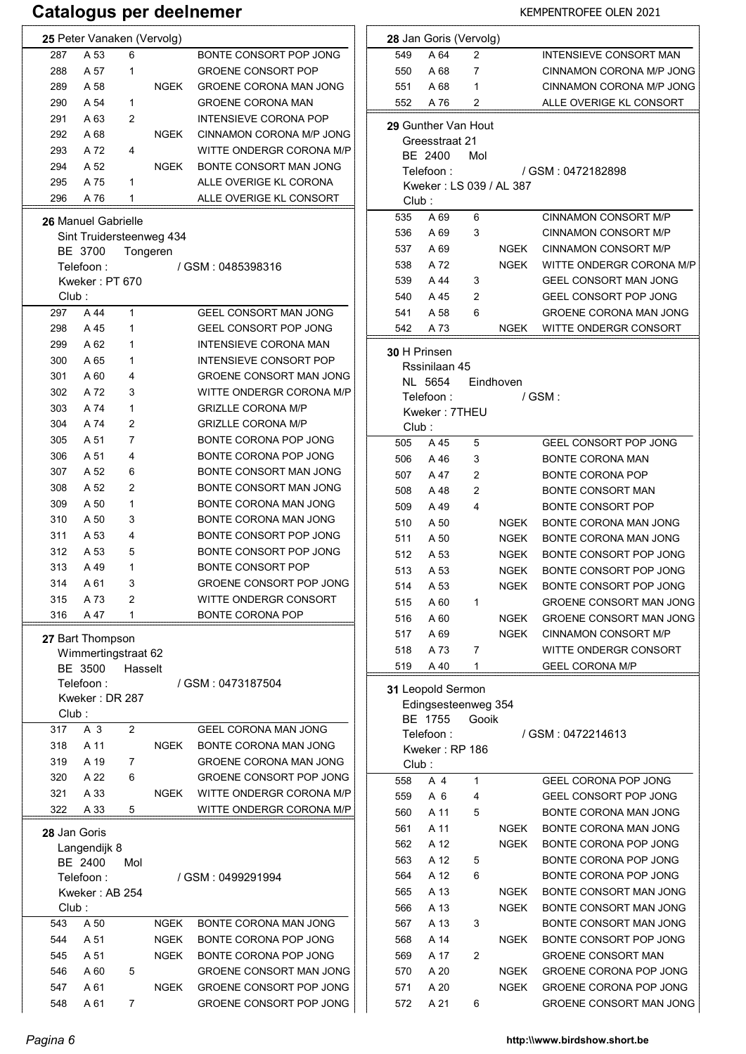|                            | 25 Peter Vanaken (Vervolg)                                                         |                |             |                                |  |  |  |
|----------------------------|------------------------------------------------------------------------------------|----------------|-------------|--------------------------------|--|--|--|
| 287                        | A 53                                                                               | 6              |             | BONTE CONSORT POP JONG         |  |  |  |
| 288                        | A 57                                                                               | 1              |             | <b>GROENE CONSORT POP</b>      |  |  |  |
| 289                        | A 58                                                                               |                | NGEK        | GROENE CORONA MAN JONG         |  |  |  |
| 290                        | A 54                                                                               | 1              |             | <b>GROENE CORONA MAN</b>       |  |  |  |
| 291                        | A 63                                                                               | 2              |             | INTENSIEVE CORONA POP          |  |  |  |
| 292                        | A 68                                                                               |                | NGEK        | CINNAMON CORONA M/P JONG       |  |  |  |
| 293                        | A 72                                                                               | 4              |             | WITTE ONDERGR CORONA M/P       |  |  |  |
| 294                        | A 52                                                                               |                | NGEK        | BONTE CONSORT MAN JONG         |  |  |  |
| 295                        | A 75                                                                               | 1              |             | ALLE OVERIGE KL CORONA         |  |  |  |
| 296                        | A 76                                                                               | 1              |             | ALLE OVERIGE KL CONSORT        |  |  |  |
|                            |                                                                                    |                |             |                                |  |  |  |
| <b>26 Manuel Gabrielle</b> |                                                                                    |                |             |                                |  |  |  |
| Sint Truidersteenweg 434   |                                                                                    |                |             |                                |  |  |  |
|                            | BE 3700                                                                            |                | Tongeren    |                                |  |  |  |
|                            | Telefoon :                                                                         |                |             | / GSM : 0485398316             |  |  |  |
|                            | Kweker: PT 670                                                                     |                |             |                                |  |  |  |
| Club:                      |                                                                                    |                |             |                                |  |  |  |
| 297                        | A 44                                                                               | 1              |             | <b>GEEL CONSORT MAN JONG</b>   |  |  |  |
| 298                        | A 45                                                                               | 1              |             | <b>GEEL CONSORT POP JONG</b>   |  |  |  |
| 299                        | A 62                                                                               | 1              |             | INTENSIEVE CORONA MAN          |  |  |  |
| 300                        | A 65                                                                               | 1              |             | <b>INTENSIEVE CONSORT POP</b>  |  |  |  |
| 301                        | A 60                                                                               | 4              |             | <b>GROENE CONSORT MAN JONG</b> |  |  |  |
| 302                        | A 72                                                                               | 3              |             | WITTE ONDERGR CORONA M/P       |  |  |  |
| 303                        | A 74                                                                               | 1              |             | <b>GRIZLLE CORONA M/P</b>      |  |  |  |
| 304                        | A 74                                                                               | 2              |             | <b>GRIZLLE CORONA M/P</b>      |  |  |  |
| 305                        | A 51                                                                               | 7              |             | BONTE CORONA POP JONG          |  |  |  |
| 306                        | A 51                                                                               | 4              |             | BONTE CORONA POP JONG          |  |  |  |
|                            |                                                                                    |                |             |                                |  |  |  |
| 307                        | A 52                                                                               | 6              |             | BONTE CONSORT MAN JONG         |  |  |  |
| 308                        | A 52                                                                               | 2              |             | BONTE CONSORT MAN JONG         |  |  |  |
| 309                        | A 50                                                                               | 1              |             | BONTE CORONA MAN JONG          |  |  |  |
| 310                        | A 50                                                                               | 3              |             | BONTE CORONA MAN JONG          |  |  |  |
| 311                        | A 53                                                                               | 4              |             | BONTE CONSORT POP JONG         |  |  |  |
| 312                        | A 53                                                                               | 5              |             | BONTE CONSORT POP JONG         |  |  |  |
| 313                        | A 49                                                                               | 1              |             | <b>BONTE CONSORT POP</b>       |  |  |  |
| 314                        | A 61                                                                               | 3              |             | <b>GROENE CONSORT POP JONG</b> |  |  |  |
| 315                        | A 73                                                                               | 2              |             | WITTE ONDERGR CONSORT          |  |  |  |
| 316                        | A 47                                                                               | 1              |             | BONTE CORONA POP               |  |  |  |
| Club :                     | 27 Bart Thompson<br>Wimmertingstraat 62<br>BE 3500<br>Telefoon :<br>Kweker: DR 287 | Hasselt        |             | / GSM: 0473187504              |  |  |  |
| 317                        | A 3                                                                                | $\overline{c}$ |             | GEEL CORONA MAN JONG           |  |  |  |
|                            |                                                                                    |                |             |                                |  |  |  |
| 318                        | A 11                                                                               |                | <b>NGEK</b> | BONTE CORONA MAN JONG          |  |  |  |
| 319                        | A 19                                                                               | 7              |             | GROENE CORONA MAN JONG         |  |  |  |
| 320                        | A 22                                                                               | 6              |             | GROENE CONSORT POP JONG        |  |  |  |
| 321                        | A 33                                                                               |                | <b>NGEK</b> | WITTE ONDERGR CORONA M/P       |  |  |  |
| 322                        | A 33                                                                               | 5              |             | WITTE ONDERGR CORONA M/P       |  |  |  |
| 28 Jan Goris<br>Club:      | Langendijk 8<br>BE 2400<br>Telefoon :<br>Kweker: AB 254                            | Mol            |             | / GSM : 0499291994             |  |  |  |
|                            |                                                                                    |                |             |                                |  |  |  |
| 543                        | A 50                                                                               |                | <b>NGEK</b> | BONTE CORONA MAN JONG          |  |  |  |
| 544                        | A 51                                                                               |                | <b>NGEK</b> | BONTE CORONA POP JONG          |  |  |  |
| 545                        | A 51                                                                               |                | <b>NGEK</b> | BONTE CORONA POP JONG          |  |  |  |
| 546                        | A 60                                                                               | 5              |             | <b>GROENE CONSORT MAN JONG</b> |  |  |  |
| 547                        | A 61                                                                               |                | NGEK        | GROENE CONSORT POP JONG        |  |  |  |
| 548                        | A 61                                                                               | 7              |             | GROENE CONSORT POP JONG        |  |  |  |

|       | 28 Jan Goris (Vervolg)                |       |                          |                                                   |  |  |  |
|-------|---------------------------------------|-------|--------------------------|---------------------------------------------------|--|--|--|
| 549   | A 64                                  | 2     |                          | INTENSIEVE CONSORT MAN                            |  |  |  |
| 550   | A 68                                  | 7     |                          | CINNAMON CORONA M/P JONG                          |  |  |  |
| 551   | A 68                                  | 1     |                          | CINNAMON CORONA M/P JONG                          |  |  |  |
| 552   | A 76                                  | 2     |                          | ALLE OVERIGE KL CONSORT                           |  |  |  |
|       |                                       |       |                          |                                                   |  |  |  |
|       | 29 Gunther Van Hout<br>Greesstraat 21 |       |                          |                                                   |  |  |  |
|       | BE 2400                               | Mol   |                          |                                                   |  |  |  |
|       | Telefoon :                            |       |                          | / GSM : 0472182898                                |  |  |  |
|       |                                       |       | Kweker : LS 039 / AL 387 |                                                   |  |  |  |
| Club: |                                       |       |                          |                                                   |  |  |  |
| 535   | A 69                                  | 6     |                          | <b>CINNAMON CONSORT M/P</b>                       |  |  |  |
| 536   | A 69                                  | 3     |                          | CINNAMON CONSORT M/P                              |  |  |  |
| 537   | A 69                                  |       | NGEK                     | CINNAMON CONSORT M/P                              |  |  |  |
| 538   | A 72                                  |       | NGEK                     | WITTE ONDERGR CORONA M/P                          |  |  |  |
| 539   | A 44                                  | 3     |                          | GEEL CONSORT MAN JONG                             |  |  |  |
| 540   | A 45                                  | 2     |                          | GEEL CONSORT POP JONG                             |  |  |  |
| 541   | A 58                                  | 6     |                          | GROENE CORONA MAN JONG                            |  |  |  |
| 542   | A 73                                  |       | NGEK                     | WITTE ONDERGR CONSORT                             |  |  |  |
|       |                                       |       |                          |                                                   |  |  |  |
|       | 30 H Prinsen<br>Rssinilaan 45         |       |                          |                                                   |  |  |  |
|       | NL 5654                               |       | Eindhoven                |                                                   |  |  |  |
|       | Telefoon :                            |       |                          | / GSM :                                           |  |  |  |
|       | Kweker: 7THEU                         |       |                          |                                                   |  |  |  |
| Club: |                                       |       |                          |                                                   |  |  |  |
| 505   | A 45                                  | 5     |                          | <b>GEEL CONSORT POP JONG</b>                      |  |  |  |
| 506   | A 46                                  | 3     |                          | <b>BONTE CORONA MAN</b>                           |  |  |  |
| 507   | A 47                                  | 2     |                          | <b>BONTE CORONA POP</b>                           |  |  |  |
| 508   | A 48                                  | 2     |                          | <b>BONTE CONSORT MAN</b>                          |  |  |  |
| 509   | A 49                                  | 4     |                          | <b>BONTE CONSORT POP</b>                          |  |  |  |
| 510   | A 50                                  |       | NGEK                     | BONTE CORONA MAN JONG                             |  |  |  |
| 511   | A 50                                  |       | NGEK                     | BONTE CORONA MAN JONG                             |  |  |  |
| 512   | A 53                                  |       | NGEK                     | BONTE CONSORT POP JONG                            |  |  |  |
| 513   | A 53                                  |       | NGEK                     | BONTE CONSORT POP JONG                            |  |  |  |
| 514   | A 53                                  |       | <b>NGEK</b>              | BONTE CONSORT POP JONG                            |  |  |  |
| 515   | A 60                                  | 1     |                          | GROENE CONSORT MAN JONG                           |  |  |  |
| 516   | A 60                                  |       | <b>NGEK</b>              | GROENE CONSORT MAN JONG                           |  |  |  |
| 517   | A 69                                  |       | NGEK                     | <b>CINNAMON CONSORT M/P</b>                       |  |  |  |
| 518   | A 73                                  | 7     |                          | WITTE ONDERGR CONSORT                             |  |  |  |
| 519   | A 40                                  | 1     |                          | <b>GEEL CORONA M/P</b>                            |  |  |  |
|       |                                       |       |                          |                                                   |  |  |  |
|       | 31 Leopold Sermon                     |       |                          |                                                   |  |  |  |
|       | Edingsesteenweg 354                   |       |                          |                                                   |  |  |  |
|       | BE 1755                               | Gooik |                          |                                                   |  |  |  |
|       | Telefoon:                             |       |                          | / GSM: 0472214613                                 |  |  |  |
|       | Kweker: RP 186                        |       |                          |                                                   |  |  |  |
| Club: | A 4                                   | 1     |                          | GEEL CORONA POP JONG                              |  |  |  |
| 558   | A 6                                   | 4     |                          | GEEL CONSORT POP JONG                             |  |  |  |
| 559   |                                       |       |                          | BONTE CORONA MAN JONG                             |  |  |  |
| 560   | A 11                                  | 5     |                          | BONTE CORONA MAN JONG                             |  |  |  |
| 561   | A 11                                  |       | NGEK                     |                                                   |  |  |  |
| 562   | A 12                                  |       | NGEK                     | BONTE CORONA POP JONG                             |  |  |  |
| 563   | A 12                                  | 5     |                          | BONTE CORONA POP JONG                             |  |  |  |
| 564   | A 12                                  | 6     |                          | BONTE CORONA POP JONG                             |  |  |  |
| 565   | A 13                                  |       | NGEK                     | BONTE CONSORT MAN JONG                            |  |  |  |
| 566   | A 13                                  |       | NGEK                     | BONTE CONSORT MAN JONG                            |  |  |  |
| 567   | A 13                                  | 3     |                          | BONTE CONSORT MAN JONG                            |  |  |  |
| 568   | A 14                                  |       | NGEK                     | BONTE CONSORT POP JONG                            |  |  |  |
| 569   | A 17                                  | 2     |                          | <b>GROENE CONSORT MAN</b>                         |  |  |  |
| 570   | A 20                                  |       | NGEK                     | GROENE CORONA POP JONG                            |  |  |  |
| 571   | A 20                                  |       | NGEK                     | GROENE CORONA POP JONG<br>GROENE CONSORT MAN JONG |  |  |  |
| 572   | A 21                                  | 6     |                          |                                                   |  |  |  |